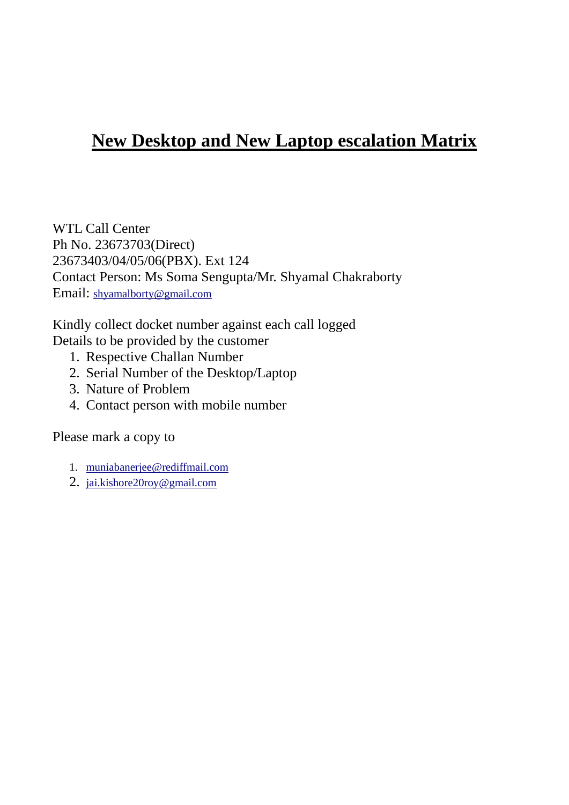## **New Desktop and New Laptop escalation Matrix**

WTL Call Center Ph No. 23673703(Direct) 23673403/04/05/06(PBX). Ext 124 Contact Person: Ms Soma Sengupta/Mr. Shyamal Chakraborty Email: shyamalborty@gmail.com

Kindly collect docket number against each call logged Details to be provided by the customer

- 1. Respective Challan Number
- 2. Serial Number of the Desktop/Laptop
- 3. Nature of Problem
- 4. Contact person with mobile number

Please mark a copy to

- 1. muniabanerjee@rediffmail.com
- 2. jai.kishore20roy@gmail.com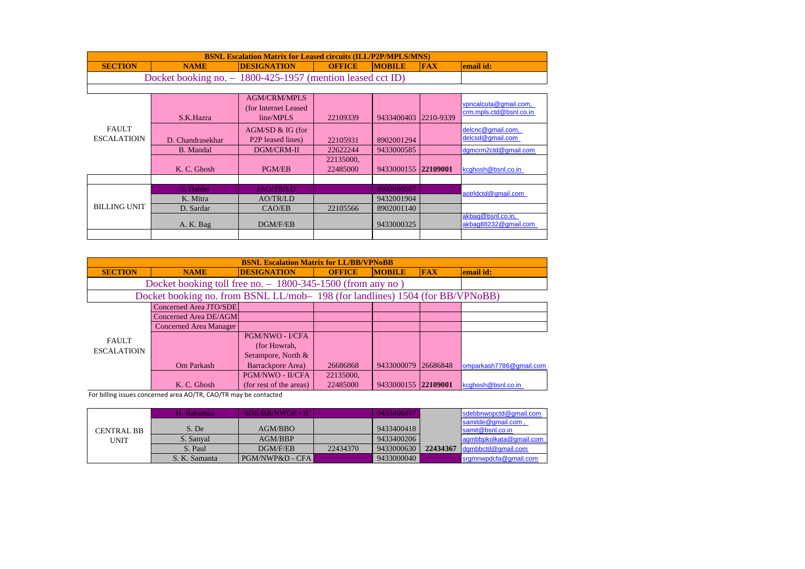| <b>BSNL Escalation Matrix for Leased circuits (ILL/P2P/MPLS/MNS)</b>                                              |  |  |  |  |  |  |  |  |
|-------------------------------------------------------------------------------------------------------------------|--|--|--|--|--|--|--|--|
| <b>DESIGNATION</b><br><b>MOBILE</b><br><b>FAX</b><br>lemail id:<br><b>SECTION</b><br><b>OFFICE</b><br><b>NAME</b> |  |  |  |  |  |  |  |  |
| Docket booking no. $-1800-425-1957$ (mention leased cct ID)                                                       |  |  |  |  |  |  |  |  |
|                                                                                                                   |  |  |  |  |  |  |  |  |

|                     | S.K.Hazra        | <b>AGM/CRM/MPLS</b><br>(for Internet Leased<br>line/MPLS | 22109339  | 9433400403 | 2210-9339 | vpncalcuta@gmail.com,<br>crm.mpls.ctd@bsnl.co.in |
|---------------------|------------------|----------------------------------------------------------|-----------|------------|-----------|--------------------------------------------------|
| <b>FAULT</b>        |                  | $AGM/SD & G$ (for                                        |           |            |           | delcnc@gmail.com,                                |
| <b>ESCALATIOIN</b>  | D. Chandrasekhar | P <sub>2</sub> P leased lines)                           | 22105931  | 8902001294 |           | delcsd@qmail.com                                 |
|                     | <b>B.</b> Mandal | DGM/CRM-II                                               | 22622244  | 9433000585 |           | dgmcrm2ctd@gmail.com                             |
|                     |                  |                                                          | 22135000, |            |           |                                                  |
|                     | K. C. Ghosh      | <b>PGM/EB</b>                                            | 22485000  | 9433000155 | 22109001  | kcghosh@bsnl.co.in                               |
|                     |                  |                                                          |           |            |           |                                                  |
|                     | S. Halder        | <b>JAO/TR/LD</b>                                         |           | 8902000587 |           | aotridctd@gmail.com                              |
| <b>BILLING UNIT</b> | K. Mitra         | AO/TR/LD                                                 |           | 9432001904 |           |                                                  |
|                     | D. Sardar        | CAO/EB                                                   | 22105566  | 8902001140 |           |                                                  |
|                     | A. K. Bag        | DGM/F/EB                                                 |           | 9433000325 |           | akbag@bsnl.co.in,<br>akbaq88232@qmail.com        |
|                     |                  |                                                          |           |            |           |                                                  |

| <b>BSNL Escalation Matrix for LL/BB/VPNoBB</b> |                                                                              |                         |               |                     |            |                         |  |  |  |
|------------------------------------------------|------------------------------------------------------------------------------|-------------------------|---------------|---------------------|------------|-------------------------|--|--|--|
| <b>SECTION</b>                                 | <b>NAME</b>                                                                  | <b>DESIGNATION</b>      | <b>OFFICE</b> | <b>MOBILE</b>       | <b>FAX</b> | email id:               |  |  |  |
|                                                | Docket booking toll free no. - 1800-345-1500 (from any no)                   |                         |               |                     |            |                         |  |  |  |
|                                                | Docket booking no. from BSNL LL/mob-198 (for landlines) 1504 (for BB/VPNoBB) |                         |               |                     |            |                         |  |  |  |
|                                                | Concerned Area JTO/SDE                                                       |                         |               |                     |            |                         |  |  |  |
|                                                | Concerned Area DE/AGM                                                        |                         |               |                     |            |                         |  |  |  |
|                                                | <b>Concerned Area Manager</b>                                                |                         |               |                     |            |                         |  |  |  |
| <b>FAULT</b>                                   |                                                                              | PGM/NWO - I/CFA         |               |                     |            |                         |  |  |  |
| <b>ESCALATIOIN</b>                             |                                                                              | (for Howrah,            |               |                     |            |                         |  |  |  |
|                                                |                                                                              | Serampore, North &      |               |                     |            |                         |  |  |  |
|                                                | Om Parkash                                                                   | Barrackpore Area)       | 26686868      | 9433000079          | 26686848   | omparkash7786@gmail.com |  |  |  |
|                                                |                                                                              | PGM/NWO - II/CFA        | 22135000,     |                     |            |                         |  |  |  |
|                                                | K. C. Ghosh                                                                  | (for rest of the areas) | 22485000      | 9433000155 22109001 |            | kcghosh@bsnl.co.in      |  |  |  |

For billing issues concerned area AO/TR, CAO/TR may be contacted

|                           | H. Rahaman-   | <b>SDE/BB/NWOP - II</b> |          | 9433400417 |          | sdebbnwopctd@gmail.com                       |
|---------------------------|---------------|-------------------------|----------|------------|----------|----------------------------------------------|
|                           | S. De         | AGM/BBO                 |          | 9433400418 |          | samitde@gmail.com,                           |
| CENTRAL BB<br><b>UNIT</b> | S. Sanyal     | AGM/BBP                 |          | 9433400206 |          | samit@bsnl.co.in<br>lagmbbpkolkata@gmail.com |
|                           | S. Paul       | DGM/F/EB                | 22434370 | 9433000630 | 22434367 | dqmbbctd@qmail.com                           |
|                           | S. K. Samanta | PGM/NWP&D - CFA         |          | 9433000040 |          | srgmnwpdcfa@gmail.com                        |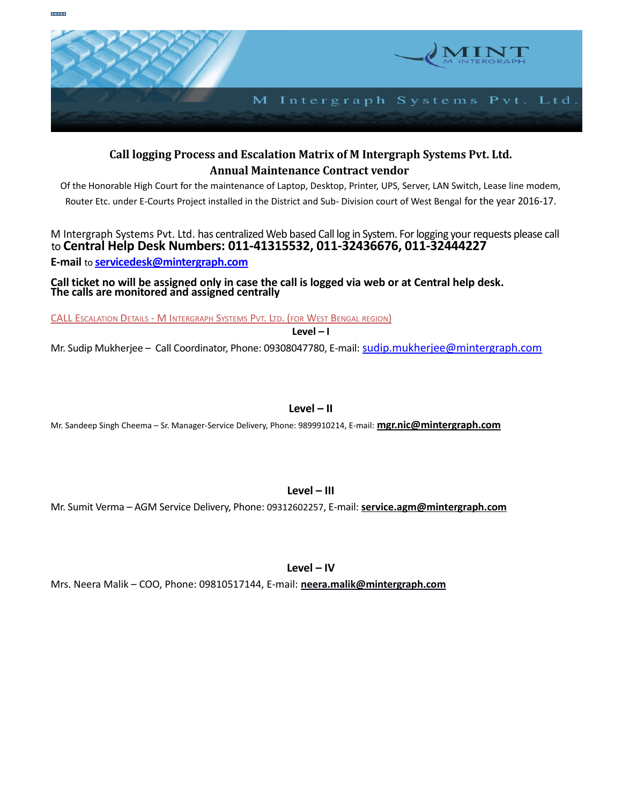

## **Call logging Process and Escalation Matrix of M Intergraph Systems Pvt. Ltd. Annual Maintenance Contract vendor**

Of the Honorable High Court for the maintenance of Laptop, Desktop, Printer, UPS, Server, LAN Switch, Lease line modem, Router Etc. under E-Courts Project installed in the District and Sub- Division court of West Bengal for the year 2016-17.

## M Intergraph Systems Pvt. Ltd. has centralized Web based Call log in System. For logging your requests please call to **Central Help Desk Numbers: 011-41315532, 011-32436676, 011-32444227 E-mail** to **[servicedesk@mintergraph.com](mailto:servicedesk@mintergraph.com)**

**Call ticket no will be assigned only in case the call is logged via web or at Central help desk. The calls are monitored and assigned centrally** 

CALL ESCALATION DETAILS - M INTERGRAPH SYSTEMS PVT. LTD. (FOR WEST BENGAL REGION)

**Level – I**

Mr. Sudip Mukherjee – Call Coordinator, Phone: 09308047780, E-mail: [sudip.mukherjee@mintergraph.com](mailto:sudip.mukherjee@mintergraph.com)

**Level – II**

Mr. Sandeep Singh Cheema – Sr. Manager-Service Delivery, Phone: 9899910214, E-mail: **mgr.nic@mintergraph.com**

**Level – III**

Mr. Sumit Verma – AGM Service Delivery, Phone: 09312602257, E-mail: **service.agm@mintergraph.com**

**Level – IV**

Mrs. Neera Malik – COO, Phone: 09810517144, E-mail: **[neera.malik@mintergraph.com](mailto:neera.malik@mintergraph.com)**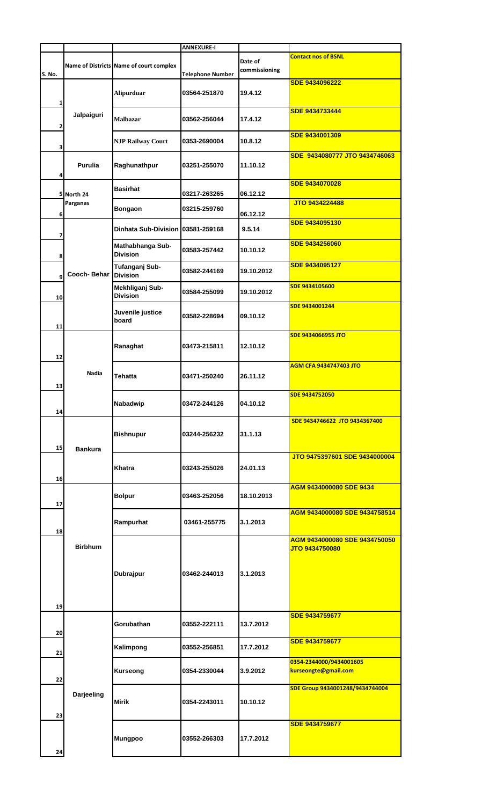|        |                |                                         | <b>ANNEXURE-I</b>       |                          |                                                 |
|--------|----------------|-----------------------------------------|-------------------------|--------------------------|-------------------------------------------------|
| S. No. |                | Name of Districts Name of court complex | <b>Telephone Number</b> | Date of<br>commissioning | <b>Contact nos of BSNL</b>                      |
| 1      |                | <b>Alipurduar</b>                       | 03564-251870            | 19.4.12                  | <b>SDE 9434096222</b>                           |
| 2      | Jalpaiguri     | <b>Malbazar</b>                         | 03562-256044            | 17.4.12                  | <b>SDE 9434733444</b>                           |
| 3      |                | <b>NJP Railway Court</b>                | 0353-2690004            | 10.8.12                  | SDE 9434001309                                  |
| 4      | <b>Purulia</b> | Raghunathpur                            | 03251-255070            | 11.10.12                 | SDE 9434080777 JTO 9434746063                   |
|        | 5 North 24     | <b>Basirhat</b>                         | 03217-263265            | 06.12.12                 | <b>SDE 9434070028</b>                           |
| 6      | Parganas       | <b>Bongaon</b>                          | 03215-259760            | 06.12.12                 | JTO 9434224488                                  |
| 7      |                | Dinhata Sub-Division 03581-259168       |                         | 9.5.14                   | SDE 9434095130                                  |
| 8      |                | Mathabhanga Sub-<br><b>Division</b>     | 03583-257442            | 10.10.12                 | <b>SDE 9434256060</b>                           |
| 9      | Cooch-Behar    | Tufanganj Sub-<br><b>Division</b>       | 03582-244169            | 19.10.2012               | SDE 9434095127                                  |
| 10     |                | Mekhliganj Sub-<br><b>Division</b>      | 03584-255099            | 19.10.2012               | SDE 9434105600                                  |
| 11     |                | Juvenile justice<br>board               | 03582-228694            | 09.10.12                 | SDE 9434001244                                  |
| 12     |                | Ranaghat                                | 03473-215811            | 12.10.12                 | <b>SDE 9434066955 JTO</b>                       |
| 13     | Nadia          | Tehatta                                 | 03471-250240            | 26.11.12                 | <b>AGM CFA 9434747403 JTO</b>                   |
| 14     |                | Nabadwip                                | 03472-244126            | 04.10.12                 | SDE 9434752050                                  |
| 15     | <b>Bankura</b> | <b>Bishnupur</b>                        | 03244-256232            | 31.1.13                  | SDE 9434746622 JTO 9434367400                   |
| 16     |                | Khatra                                  | 03243-255026            | 24.01.13                 | JTO 9475397601 SDE 9434000004                   |
| 17     |                | <b>Bolpur</b>                           | 03463-252056            | 18.10.2013               | AGM 9434000080 SDE 9434                         |
| 18     |                | Rampurhat                               | 03461-255775            | 3.1.2013                 | AGM 9434000080 SDE 9434758514                   |
|        | <b>Birbhum</b> | Dubrajpur                               | 03462-244013            | 3.1.2013                 | AGM 9434000080 SDE 9434750050<br>JTO 9434750080 |
| 19     |                |                                         |                         |                          | <b>SDE 9434759677</b>                           |
| 20     |                | Gorubathan                              | 03552-222111            | 13.7.2012                | <b>SDE 9434759677</b>                           |
| 21     |                | Kalimpong                               | 03552-256851            | 17.7.2012                | 0354-2344000/9434001605                         |
| 22     |                | <b>Kurseong</b>                         | 0354-2330044            | 3.9.2012                 | kurseongte@gmail.com                            |
| 23     | Darjeeling     | <b>Mirik</b>                            | 0354-2243011            | 10.10.12                 | SDE Group 9434001248/9434744004                 |
| 24     |                | <b>Mungpoo</b>                          | 03552-266303            | 17.7.2012                | <b>SDE 9434759677</b>                           |